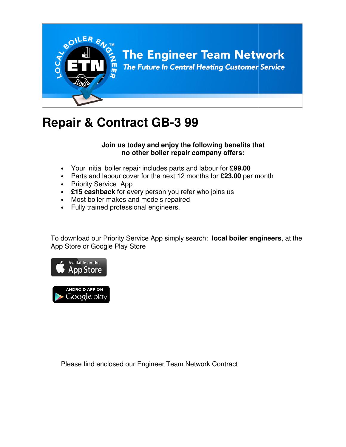

# **Repair & Contract GB-3 99**

### **Join us today and enjoy the following benefits that and that no other boiler repair company offers:**

- Your initial boiler repair includes parts and labour for £99.00
- Parts and labour cover for the next 12 months for £23.00 per month
- Priority Service App
- £15 cashback for every person you refer who joins us
- Most boiler makes and models repaired
- Fully trained professional engineers.

• Priority Service App<br>
• £15 cashback for every person you refer who joins us<br>
• Most boiler makes and models repaired<br>
• Fully trained professional engineers.<br>
To download our Priority Service App simply search: local bo App Store or Google Play Store



Please find enclosed our Engineer Team Network Contract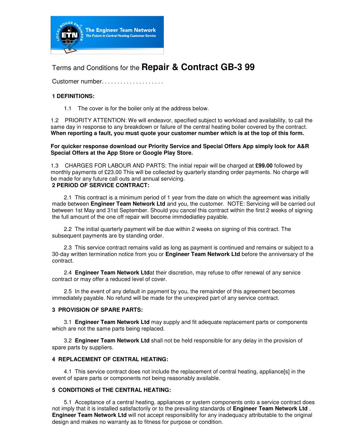

## Terms and Conditions for the **Repair & Contract GB-3 99**

Customer number. . . . . . . . . . . . . . . . . . .

#### **1 DEFINITIONS:**

1.1 The cover is for the boiler only at the address below.

1.2 PRIORITY ATTENTION: We will endeavor, specified subject to workload and availability, to call the same day in response to any breakdown or failure of the central heating boiler covered by the contract. **When reporting a fault, you must quote your customer number which is at the top of this form.** 

**For quicker response download our Priority Service and Special Offers App simply look for A&R Special Offers at the App Store or Google Play Store.** 

1.3 CHARGES FOR LABOUR AND PARTS: The initial repair will be charged at **£99.00** followed by monthly payments of £23.00 This will be collected by quarterly standing order payments. No charge will be made for any future call outs and annual servicing. **2 PERIOD OF SERVICE CONTRACT:** 

2.1 This contract is a minimum period of 1 year from the date on which the agreement was initially made between **Engineer Team Network Ltd** and you, the customer. NOTE: Servicing will be carried out between 1st May and 31st September. Should you cancel this contract within the first 2 weeks of signing the full amount of the one off repair will become immdediatley payable.

2.2 The initial quarterly payment will be due within 2 weeks on signing of this contract. The subsequent payments are by standing order.

2.3 This service contract remains valid as long as payment is continued and remains or subject to a 30-day written termination notice from you or **Engineer Team Network Ltd** before the anniversary of the contract.

2.4 **Engineer Team Network Ltd**at their discretion, may refuse to offer renewal of any service contract or may offer a reduced level of cover.

2.5 In the event of any default in payment by you, the remainder of this agreement becomes immediately payable. No refund will be made for the unexpired part of any service contract.

#### **3 PROVISION OF SPARE PARTS:**

3.1 **Engineer Team Network Ltd** may supply and fit adequate replacement parts or components which are not the same parts being replaced.

3.2 **Engineer Team Network Ltd** shall not be held responsible for any delay in the provision of spare parts by suppliers.

#### **4 REPLACEMENT OF CENTRAL HEATING:**

4.1 This service contract does not include the replacement of central heating, appliance[s] in the event of spare parts or components not being reasonably available.

#### **5 CONDITIONS of THE CENTRAL HEATING:**

5.1 Acceptance of a central heating, appliances or system components onto a service contract does not imply that it is installed satisfactorily or to the prevailing standards of **Engineer Team Network Ltd** . **Engineer Team Network Ltd** will not accept responsibility for any inadequacy attributable to the original design and makes no warranty as to fitness for purpose or condition.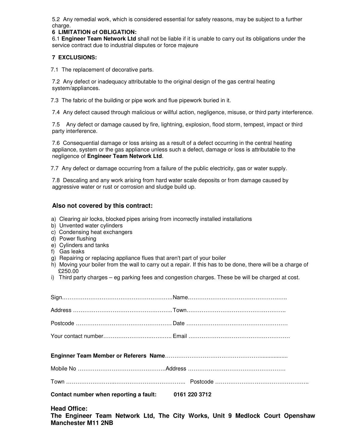5.2 Any remedial work, which is considered essential for safety reasons, may be subject to a further charge.

#### **6 LIMITATION of OBLIGATION:**

6.1 **Engineer Team Network Ltd** shall not be liable if it is unable to carry out its obligations under the service contract due to industrial disputes or force majeure

#### **7 EXCLUSIONS:**

7.1 The replacement of decorative parts.

7.2 Any defect or inadequacy attributable to the original design of the gas central heating system/appliances.

7.3 The fabric of the building or pipe work and flue pipework buried in it.

7.4 Any defect caused through malicious or willful action, negligence, misuse, or third party interference.

7.5 Any defect or damage caused by fire, lightning, explosion, flood storm, tempest, impact or third party interference.

7.6 Consequential damage or loss arising as a result of a defect occurring in the central heating appliance, system or the gas appliance unless such a defect, damage or loss is attributable to the negligence of **Engineer Team Network Ltd**.

7.7 Any defect or damage occurring from a failure of the public electricity, gas or water supply.

7.8 Descaling and any work arising from hard water scale deposits or from damage caused by aggressive water or rust or corrosion and sludge build up.

#### **Also not covered by this contract:**

- a) Clearing air locks, blocked pipes arising from incorrectly installed installations
- b) Unvented water cylinders
- c) Condensing heat exchangers
- d) Power flushing
- e) Cylinders and tanks

**Manchester M11 2NB** 

- f) Gas leaks
- g) Repairing or replacing appliance flues that aren't part of your boiler
- h) Moving your boiler from the wall to carry out a repair. If this has to be done, there will be a charge of £250.00
- i) Third party charges eg parking fees and congestion charges. These be will be charged at cost.

| Contact number when reporting a fault: 0161 220 3712 |                                                                              |
|------------------------------------------------------|------------------------------------------------------------------------------|
| <b>Head Office:</b>                                  | The Engineer Team Network Ltd, The City Works, Unit 9 Medlock Court Openshaw |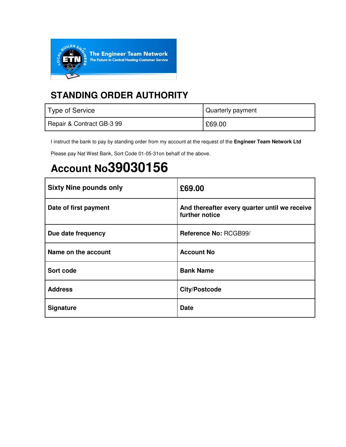

## **STANDING ORDER AUTHORITY**

| Type of Service           | Quarterly payment |
|---------------------------|-------------------|
| Repair & Contract GB-3 99 | £69.00            |

I instruct the bank to pay by standing order from my account at the request of the **Engineer Team Network Ltd** 

Please pay Nat West Bank, Sort Code 01-05-31on behalf of the above.

# **Account No39030156**

| <b>Sixty Nine pounds only</b> | £69.00                                                          |
|-------------------------------|-----------------------------------------------------------------|
| Date of first payment         | And thereafter every quarter until we receive<br>further notice |
| Due date frequency            | Reference No: RCGB99/                                           |
| Name on the account           | <b>Account No</b>                                               |
| Sort code                     | <b>Bank Name</b>                                                |
| <b>Address</b>                | <b>City/Postcode</b>                                            |
| <b>Signature</b>              | <b>Date</b>                                                     |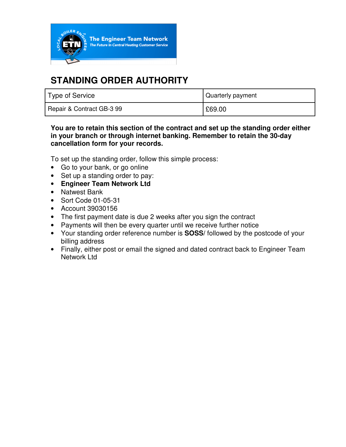

## **STANDING ORDER AUTHORITY**

| Type of Service           | Quarterly payment |
|---------------------------|-------------------|
| Repair & Contract GB-3 99 | £69.00            |

### **You are to retain this section of the contract and set up the standing order either in your branch or through internet banking. Remember to retain the 30-day cancellation form for your records.**

To set up the standing order, follow this simple process:

- Go to your bank, or go online
- Set up a standing order to pay:
- **Engineer Team Network Ltd**
- Natwest Bank
- Sort Code 01-05-31
- Account 39030156
- The first payment date is due 2 weeks after you sign the contract
- Payments will then be every quarter until we receive further notice
- Your standing order reference number is **SOSS/** followed by the postcode of your billing address
- Finally, either post or email the signed and dated contract back to Engineer Team Network Ltd